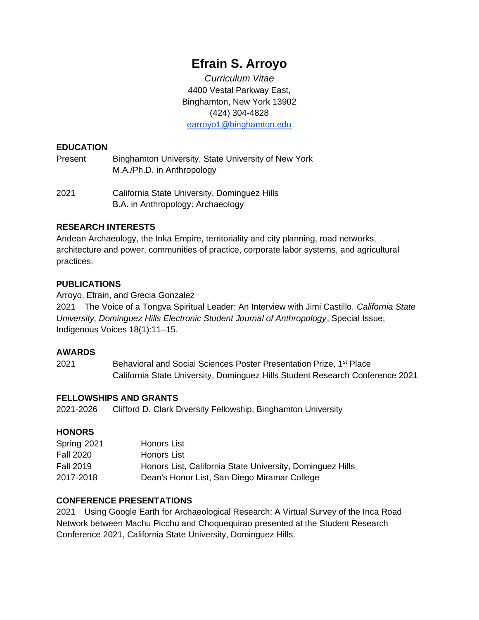# **Efrain S. Arroyo**

*Curriculum Vitae* 4400 Vestal Parkway East, Binghamton, New York 13902 (424) 304-4828 [earroyo1@binghamton.edu](mailto:earroyo1@binghamton.edu)

#### **EDUCATION**

- Present Binghamton University, State University of New York M.A./Ph.D. in Anthropology
- 2021 California State University, Dominguez Hills B.A. in Anthropology: Archaeology

## **RESEARCH INTERESTS**

Andean Archaeology, the Inka Empire, territoriality and city planning, road networks, architecture and power, communities of practice, corporate labor systems, and agricultural practices.

## **PUBLICATIONS**

[Arroyo, Efrain, and Grecia Gonzalez](https://www.zotero.org/google-docs/?82faSh)

2021 [The Voice of a Tongva Spiritual Leader: An Interview with Jimi Castillo.](https://www.zotero.org/google-docs/?82faSh) *[California State](https://www.zotero.org/google-docs/?82faSh)  [University, Dominguez Hills Electronic Student Journal of Anthropology](https://www.zotero.org/google-docs/?82faSh)*, Special Issue; [Indigenous Voices](https://www.zotero.org/google-docs/?82faSh) [18\(1\):11–15.](https://www.zotero.org/google-docs/?82faSh)

#### **AWARDS**

2021 Behavioral and Social Sciences Poster Presentation Prize, 1<sup>st</sup> Place California State University, Dominguez Hills Student Research Conference 2021

#### **FELLOWSHIPS AND GRANTS**

2021-2026 Clifford D. Clark Diversity Fellowship, Binghamton University

# **HONORS**

| Spring 2021      | Honors List                                               |
|------------------|-----------------------------------------------------------|
| <b>Fall 2020</b> | Honors List                                               |
| <b>Fall 2019</b> | Honors List, California State University, Dominguez Hills |
| 2017-2018        | Dean's Honor List, San Diego Miramar College              |

# **CONFERENCE PRESENTATION[S](https://www.zotero.org/google-docs/?82faSh)**

2021 [Using Google Earth for Archaeological Research: A Virtual Survey of the Inca Road](https://www.zotero.org/google-docs/?82faSh)  [Network between Machu Picchu and Choquequirao presented at the Student Research](https://www.zotero.org/google-docs/?82faSh)  [Conference 2021, California State University, Dominguez Hills.](https://www.zotero.org/google-docs/?82faSh)